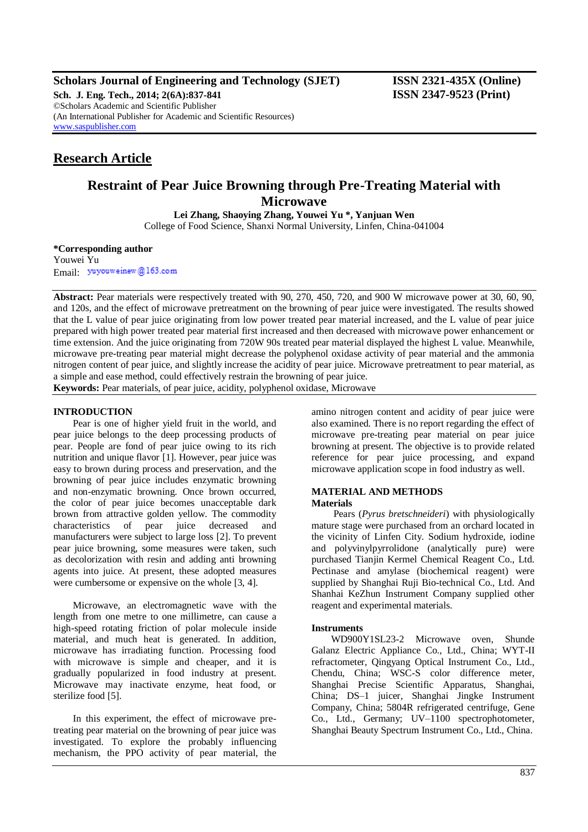**Scholars Journal of Engineering and Technology (SJET) ISSN 2321-435X (Online)**

**Sch. J. Eng. Tech., 2014; 2(6A):837-841 ISSN 2347-9523 (Print)** ©Scholars Academic and Scientific Publisher (An International Publisher for Academic and Scientific Resources) [www.saspublisher.com](http://www.saspublisher.com/)

## **Research Article**

# **Restraint of Pear Juice Browning through Pre-Treating Material with Microwave**

**Lei Zhang, Shaoying Zhang, Youwei Yu \*, Yanjuan Wen** College of Food Science, Shanxi Normal University, Linfen, China-041004

**\*Corresponding author**

Youwei Yu Email: yuyouweinew@163.com

**Abstract:** Pear materials were respectively treated with 90, 270, 450, 720, and 900 W microwave power at 30, 60, 90, and 120s, and the effect of microwave pretreatment on the browning of pear juice were investigated. The results showed that the L value of pear juice originating from low power treated pear material increased, and the L value of pear juice prepared with high power treated pear material first increased and then decreased with microwave power enhancement or time extension. And the juice originating from 720W 90s treated pear material displayed the highest L value. Meanwhile, microwave pre-treating pear material might decrease the polyphenol oxidase activity of pear material and the ammonia nitrogen content of pear juice, and slightly increase the acidity of pear juice. Microwave pretreatment to pear material, as a simple and ease method, could effectively restrain the browning of pear juice.

**Keywords:** Pear materials, of pear juice, acidity, polyphenol oxidase, Microwave

## **INTRODUCTION**

Pear is one of higher yield fruit in the world, and pear juice belongs to the deep processing products of pear. People are fond of pear juice owing to its rich nutrition and unique flavor [1]. However, pear juice was easy to brown during process and preservation, and the browning of pear juice includes enzymatic browning and non-enzymatic browning. Once brown occurred, the color of pear juice becomes unacceptable dark brown from attractive golden yellow. The commodity characteristics of pear juice decreased and manufacturers were subject to large loss [2]. To prevent pear juice browning, some measures were taken, such as decolorization with resin and adding anti browning agents into juice. At present, these adopted measures were cumbersome or expensive on the whole [3, 4].

Microwave, an electromagnetic wave with the length from one metre to one millimetre, can cause a high-speed rotating friction of polar molecule inside material, and much heat is generated. In addition, microwave has irradiating function. Processing food with microwave is simple and cheaper, and it is gradually popularized in food industry at present. Microwave may inactivate enzyme, heat food, or sterilize food [5].

In this experiment, the effect of microwave pretreating pear material on the browning of pear juice was investigated. To explore the probably influencing mechanism, the PPO activity of pear material, the amino nitrogen content and acidity of pear juice were also examined. There is no report regarding the effect of microwave pre-treating pear material on pear juice browning at present. The objective is to provide related reference for pear juice processing, and expand microwave application scope in food industry as well.

## **MATERIAL AND METHODS Materials**

Pears (*Pyrus bretschneideri*) with physiologically mature stage were purchased from an orchard located in the vicinity of Linfen City. Sodium hydroxide, iodine and polyvinylpyrrolidone (analytically pure) were purchased Tianjin Kermel Chemical Reagent Co., Ltd. Pectinase and amylase (biochemical reagent) were supplied by Shanghai Ruji Bio-technical Co., Ltd. And Shanhai KeZhun Instrument Company supplied other reagent and experimental materials.

## **Instruments**

WD900Y1SL23-2 Microwave oven, Shunde Galanz Electric Appliance Co., Ltd., China; WYT-II refractometer, Qingyang Optical Instrument Co., Ltd., Chendu, China; WSC-S color difference meter, Shanghai Precise Scientific Apparatus, Shanghai, China; DS–1 juicer, Shanghai Jingke Instrument Company, China; 5804R refrigerated centrifuge, Gene Co., Ltd., Germany; UV–1100 spectrophotometer, Shanghai Beauty Spectrum Instrument Co., Ltd., China.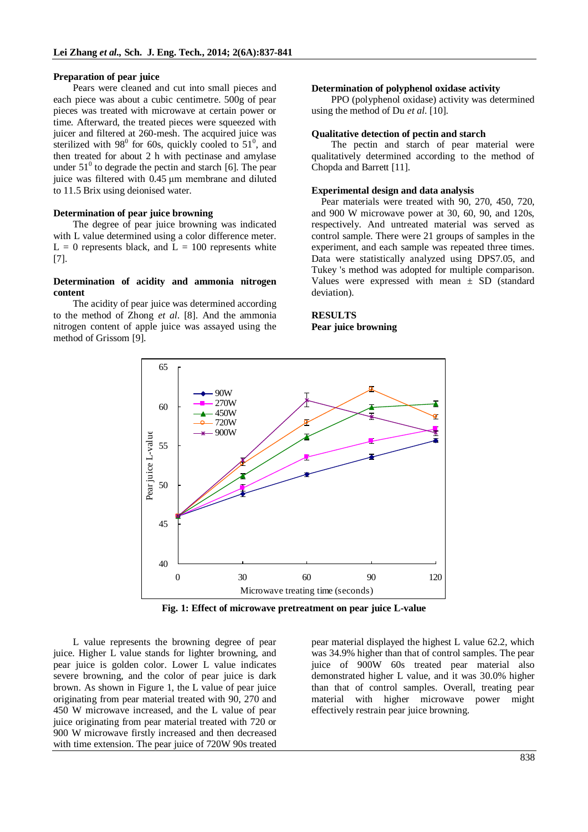## **Preparation of pear juice**

Pears were cleaned and cut into small pieces and each piece was about a cubic centimetre. 500g of pear pieces was treated with microwave at certain power or time. Afterward, the treated pieces were squeezed with juicer and filtered at 260-mesh. The acquired juice was sterilized with  $98^{\circ}$  for 60s, quickly cooled to  $51^{\circ}$ , and then treated for about 2 h with pectinase and amylase under  $51^0$  to degrade the pectin and starch [6]. The pear juice was filtered with 0.45 μm membrane and diluted to 11.5 Brix using deionised water.

## **Determination of pear juice browning**

The degree of pear juice browning was indicated with L value determined using a color difference meter.  $L = 0$  represents black, and  $L = 100$  represents white [7].

## **Determination of acidity and ammonia nitrogen content**

The acidity of pear juice was determined according to the method of Zhong *et al*. [8]. And the ammonia nitrogen content of apple juice was assayed using the method of Grissom [9].

#### **Determination of polyphenol oxidase activity**

PPO (polyphenol oxidase) activity was determined using the method of Du *et al*. [10].

#### **Qualitative detection of pectin and starch**

The pectin and starch of pear material were qualitatively determined according to the method of Chopda and Barrett [11].

#### **Experimental design and data analysis**

 Pear materials were treated with 90, 270, 450, 720, and 900 W microwave power at 30, 60, 90, and 120s, respectively. And untreated material was served as control sample. There were 21 groups of samples in the experiment, and each sample was repeated three times. Data were statistically analyzed using DPS7.05, and Tukey 's method was adopted for multiple comparison. Values were expressed with mean  $\pm$  SD (standard deviation).

## **RESULTS Pear juice browning**



**Fig. 1: Effect of microwave pretreatment on pear juice L-value**

L value represents the browning degree of pear juice. Higher L value stands for lighter browning, and pear juice is golden color. Lower L value indicates severe browning, and the color of pear juice is dark brown. As shown in Figure 1, the L value of pear juice originating from pear material treated with 90, 270 and 450 W microwave increased, and the L value of pear juice originating from pear material treated with 720 or 900 W microwave firstly increased and then decreased with time extension. The pear juice of 720W 90s treated

pear material displayed the highest L value 62.2, which was 34.9% higher than that of control samples. The pear juice of 900W 60s treated pear material also demonstrated higher L value, and it was 30.0% higher than that of control samples. Overall, treating pear material with higher microwave power might effectively restrain pear juice browning.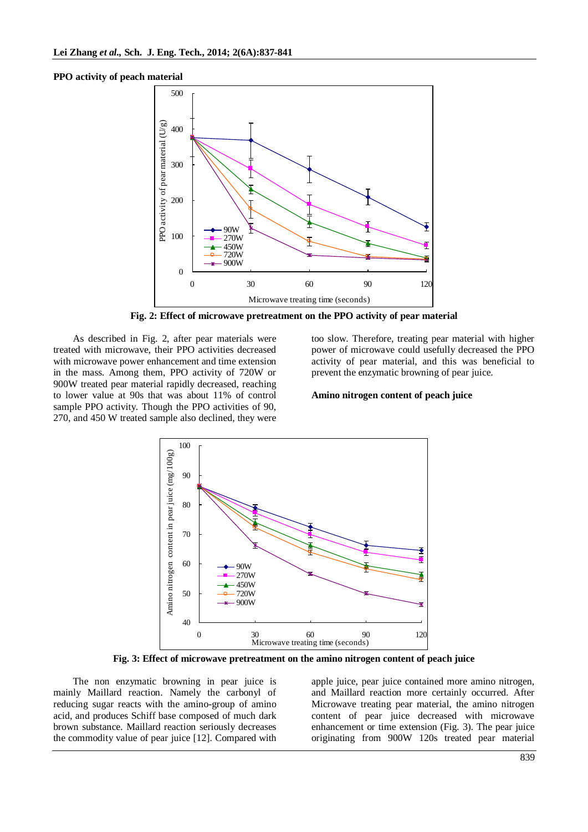**PPO activity of peach material**



**Fig. 2: Effect of microwave pretreatment on the PPO activity of pear material**

As described in Fig. 2, after pear materials were treated with microwave, their PPO activities decreased with microwave power enhancement and time extension in the mass. Among them, PPO activity of 720W or 900W treated pear material rapidly decreased, reaching to lower value at 90s that was about 11% of control sample PPO activity. Though the PPO activities of 90, 270, and 450 W treated sample also declined, they were

too slow. Therefore, treating pear material with higher power of microwave could usefully decreased the PPO activity of pear material, and this was beneficial to prevent the enzymatic browning of pear juice.

## **Amino nitrogen content of peach juice**



**Fig. 3: Effect of microwave pretreatment on the amino nitrogen content of peach juice**

The non enzymatic browning in pear juice is mainly Maillard reaction. Namely the carbonyl of reducing sugar reacts with the amino-group of amino acid, and produces Schiff base composed of much dark brown substance. Maillard reaction seriously decreases the commodity value of pear juice [12]. Compared with

apple juice, pear juice contained more amino nitrogen, and Maillard reaction more certainly occurred. After Microwave treating pear material, the amino nitrogen content of pear juice decreased with microwave enhancement or time extension (Fig. 3). The pear juice originating from 900W 120s treated pear material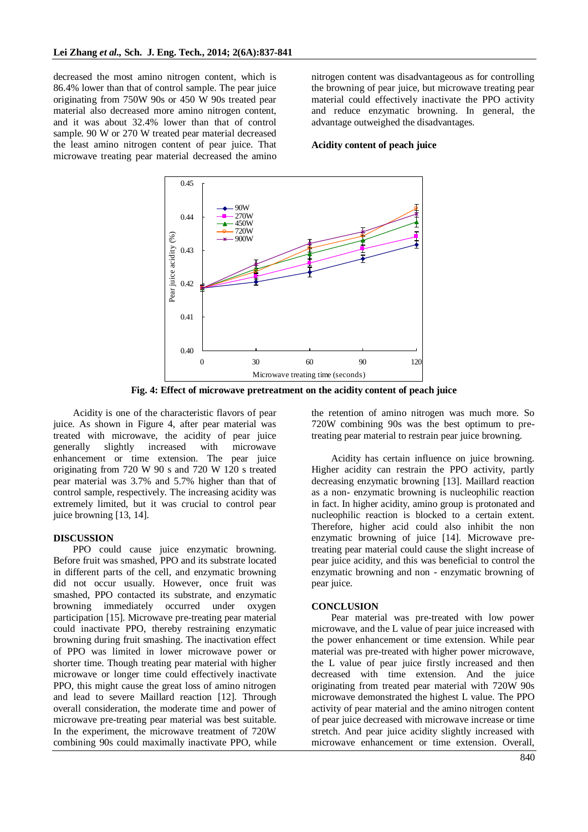decreased the most amino nitrogen content, which is 86.4% lower than that of control sample. The pear juice originating from 750W 90s or 450 W 90s treated pear material also decreased more amino nitrogen content, and it was about 32.4% lower than that of control sample. 90 W or 270 W treated pear material decreased the least amino nitrogen content of pear juice. That microwave treating pear material decreased the amino nitrogen content was disadvantageous as for controlling the browning of pear juice, but microwave treating pear material could effectively inactivate the PPO activity and reduce enzymatic browning. In general, the advantage outweighed the disadvantages.

## **Acidity content of peach juice**



**Fig. 4: Effect of microwave pretreatment on the acidity content of peach juice**

Acidity is one of the characteristic flavors of pear juice. As shown in Figure 4, after pear material was treated with microwave, the acidity of pear juice generally slightly increased with microwave enhancement or time extension. The pear juice originating from 720 W 90 s and 720 W 120 s treated pear material was 3.7% and 5.7% higher than that of control sample, respectively. The increasing acidity was extremely limited, but it was crucial to control pear juice browning [13, 14].

## **DISCUSSION**

PPO could cause juice enzymatic browning. Before fruit was smashed, PPO and its substrate located in different parts of the cell, and enzymatic browning did not occur usually. However, once fruit was smashed, PPO contacted its substrate, and enzymatic browning immediately occurred under oxygen participation [15]. Microwave pre-treating pear material could inactivate PPO, thereby restraining enzymatic browning during fruit smashing. The inactivation effect of PPO was limited in lower microwave power or shorter time. Though treating pear material with higher microwave or longer time could effectively inactivate PPO, this might cause the great loss of amino nitrogen and lead to severe Maillard reaction [12]. Through overall consideration, the moderate time and power of microwave pre-treating pear material was best suitable. In the experiment, the microwave treatment of 720W combining 90s could maximally inactivate PPO, while the retention of amino nitrogen was much more. So 720W combining 90s was the best optimum to pretreating pear material to restrain pear juice browning.

Acidity has certain influence on juice browning. Higher acidity can restrain the PPO activity, partly decreasing enzymatic browning [13]. Maillard reaction as a non- enzymatic browning is nucleophilic reaction in fact. In higher acidity, amino group is protonated and nucleophilic reaction is blocked to a certain extent. Therefore, higher acid could also inhibit the non enzymatic browning of juice [14]. Microwave pretreating pear material could cause the slight increase of pear juice acidity, and this was beneficial to control the enzymatic browning and non - enzymatic browning of pear juice.

#### **CONCLUSION**

Pear material was pre-treated with low power microwave, and the L value of pear juice increased with the power enhancement or time extension. While pear material was pre-treated with higher power microwave, the L value of pear juice firstly increased and then decreased with time extension. And the juice originating from treated pear material with 720W 90s microwave demonstrated the highest L value. The PPO activity of pear material and the amino nitrogen content of pear juice decreased with microwave increase or time stretch. And pear juice acidity slightly increased with microwave enhancement or time extension. Overall,